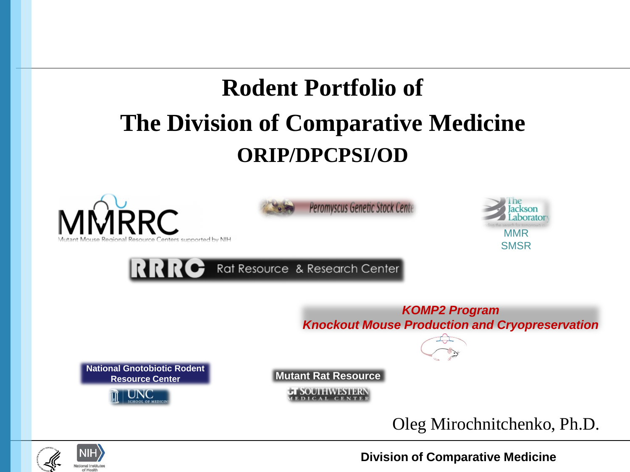# **Rodent Portfolio of The Division of Comparative Medicine ORIP/DPCPSI/OD**







RRRC Rat Resource & Research Center

 *Knockout Mouse Production and Cryopreservation KOMP2 Program* 

**National Gnotobiotic Rodent** 



**Mutant Rat Resource** 

**JI SOUTHWESTERN** 

Oleg Mirochnitchenko, Ph.D.



**Division of Comparative Medicine**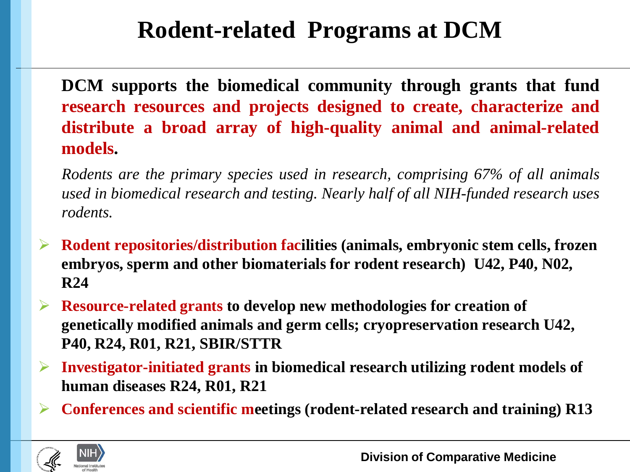## **Rodent-related Programs at DCM**

 **research resources and projects designed to create, characterize and distribute a broad array of high-quality animal and animal-related DCM supports the biomedical community through grants that fund models.** 

 *Rodents are the primary species used in research, comprising 67% of all animals used in biomedical research and testing. Nearly half of all NIH-funded research uses rodents.* 

- **Rodent repositories/distribution facilities (animals, embryonic stem cells, frozen embryos, sperm and other biomaterials for rodent research) U42, P40, N02, R24**
- **genetically modified animals and germ cells; cryopreservation research U42, Resource-related grants to develop new methodologies for creation of P40, R24, R01, R21, SBIR/STTR**
- **human diseases R24, R01, R21 Investigator-initiated grants in biomedical research utilizing rodent models of**
- **Conferences and scientific meetings (rodent-related research and training) R13**

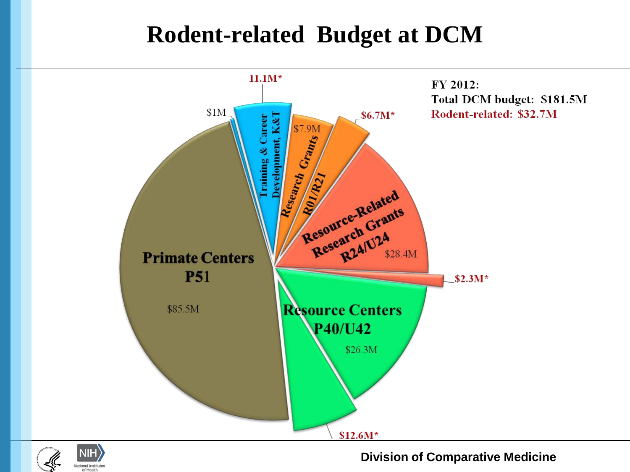### **Rodent-related Budget at DCM**





**Division of Comparative Medicine**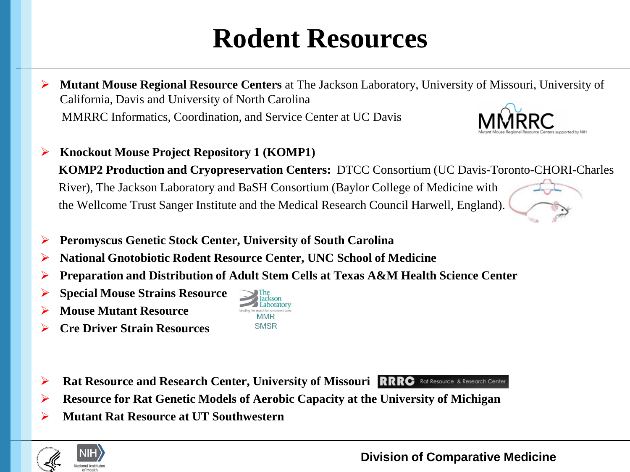# **Rodent Resources**

- **Mutant Mouse Regional Resource Centers** at The Jackson Laboratory, University of Missouri, University of California, Davis and University of North Carolina MMRRC Informatics, Coordination, and Service Center at UC Davis
- **Knockout Mouse Project Repository 1 (KOMP1) KOMP2 Production and Cryopreservation Centers:** DTCC Consortium (UC Davis-Toronto-CHORI-Charles River), The Jackson Laboratory and BaSH Consortium (Baylor College of Medicine with the Wellcome Trust Sanger Institute and the Medical Research Council Harwell, England). Í
- **Peromyscus Genetic Stock Center, University of South Carolina**
- **National Gnotobiotic Rodent Resource Center, UNC School of Medicine**
- **Preparation and Distribution of Adult Stem Cells at Texas A&M Health Science Center**
- **Special Mouse Strains Resource**
- **Mouse Mutant Resource**
- **Cre Driver Strain Resources**
- **Rat Resource and Research Center, University of Missouri**
- **Resource for Rat Genetic Models of Aerobic Capacity at the University of Michigan**
- **Mutant Rat Resource at UT Southwestern**







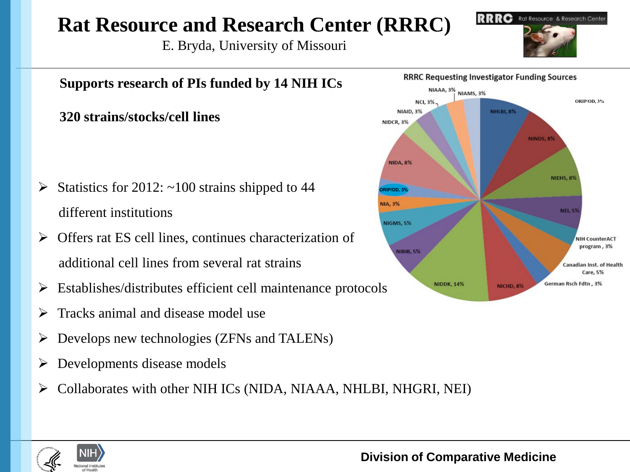### **Rat Resource and Research Center (RRRC)**

E. Bryda, University of Missouri





#### **Supports research of PIs funded by 14 NIH ICs NCI. 3%** NIAID, 3% **320 strains/stocks/cell lines**  NIDCR, 3% **NIDA, 8%** Statistics for 2012:  $~100$  strains shipped to 44 **ORIP/OD, 3% NIA, 3%** different institutions **NIGMS, 5%**  Offers rat ES cell lines, continues characterization of **NIBIB, 5%** additional cell lines from several rat strains

- $\triangleright$  Establishes/distributes efficient cell maintenance protocols
- $\triangleright$  Tracks animal and disease model use
- $\triangleright$  Develops new technologies (ZFNs and TALENs)
- $\triangleright$  Developments disease models
- $\triangleright$  Collaborates with other NIH ICs (NIDA, NIAAA, NHLBI, NHGRI, NEI)



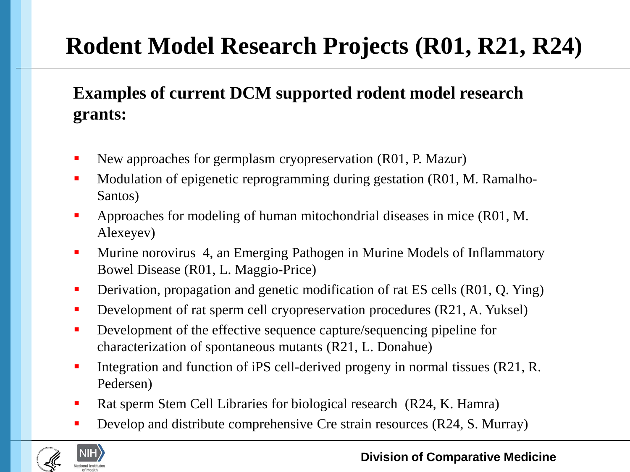## **Rodent Model Research Projects (R01, R21, R24)**

### **Examples of current DCM supported rodent model research grants:**

- New approaches for germplasm cryopreservation (R01, P. Mazur)
- Modulation of epigenetic reprogramming during gestation (R01, M. Ramalho-Santos)
- Approaches for modeling of human mitochondrial diseases in mice (R01, M. Alexeyev)
- **Murine norovirus 4, an Emerging Pathogen in Murine Models of Inflammatory** Bowel Disease (R01, L. Maggio-Price)
- **•** Derivation, propagation and genetic modification of rat ES cells (R01, Q. Ying)
- Development of rat sperm cell cryopreservation procedures (R21, A. Yuksel)
- **•** Development of the effective sequence capture/sequencing pipeline for characterization of spontaneous mutants (R21, L. Donahue)
- Integration and function of iPS cell-derived progeny in normal tissues (R21, R. Pedersen)
- Rat sperm Stem Cell Libraries for biological research (R24, K. Hamra)
- Develop and distribute comprehensive Cre strain resources (R24, S. Murray)